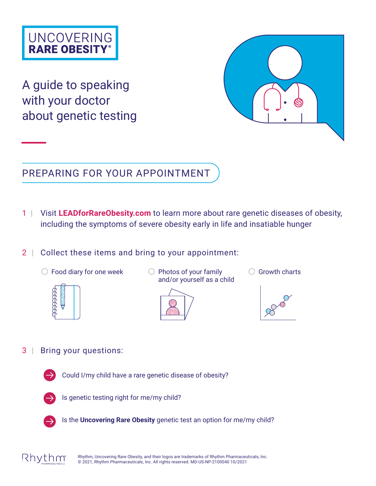## **UNCOVERING RARE OBESITY®**

A guide to speaking with your doctor about genetic testing



### PREPARING FOR YOUR APPOINTMENT

- 1 | Visit **[LEADforRareObesity.com](https://leadforrareobesity.com)** to learn more about rare genetic diseases of obesity, including the symptoms of severe obesity early in life and insatiable hunger
- 2 | Collect these items and bring to your appointment:
	- $\bigcirc$  Food diary for one week  $\bigcirc$  Photos of your family



- and/or yourself as a child
	-





3 | Bring your questions:



Could I/my child have a rare genetic disease of obesity?



Is genetic testing right for me/my child?



Is the **Uncovering Rare Obesity** genetic test an option for me/my child?



Rhythm, Uncovering Rare Obesity, and their logos are trademarks of Rhythm Pharmaceuticals, Inc. © 2021, Rhythm Pharmaceuticals, Inc. All rights reserved. MD-US-NP-2100040 10/2021